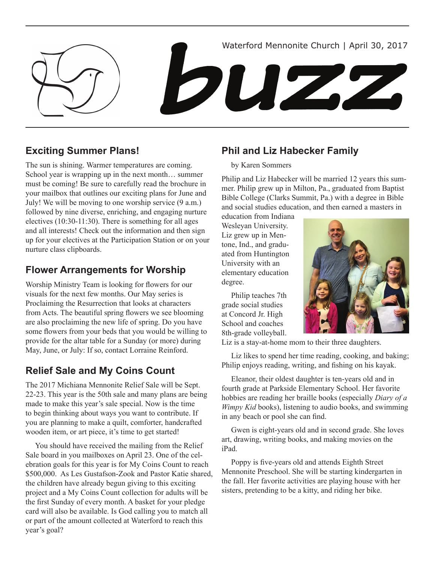Waterford Mennonite Church | April 30, 2017

DUZZ

# **Exciting Summer Plans!**

The sun is shining. Warmer temperatures are coming. School year is wrapping up in the next month… summer must be coming! Be sure to carefully read the brochure in your mailbox that outlines our exciting plans for June and July! We will be moving to one worship service (9 a.m.) followed by nine diverse, enriching, and engaging nurture electives (10:30-11:30). There is something for all ages and all interests! Check out the information and then sign up for your electives at the Participation Station or on your nurture class clipboards.

## **Flower Arrangements for Worship**

Worship Ministry Team is looking for flowers for our visuals for the next few months. Our May series is Proclaiming the Resurrection that looks at characters from Acts. The beautiful spring flowers we see blooming are also proclaiming the new life of spring. Do you have some flowers from your beds that you would be willing to provide for the altar table for a Sunday (or more) during May, June, or July: If so, contact Lorraine Reinford.

# **Relief Sale and My Coins Count**

The 2017 Michiana Mennonite Relief Sale will be Sept. 22-23. This year is the 50th sale and many plans are being made to make this year's sale special. Now is the time to begin thinking about ways you want to contribute. If you are planning to make a quilt, comforter, handcrafted wooden item, or art piece, it's time to get started!

You should have received the mailing from the Relief Sale board in you mailboxes on April 23. One of the celebration goals for this year is for My Coins Count to reach \$500,000. As Les Gustafson-Zook and Pastor Katie shared, the children have already begun giving to this exciting project and a My Coins Count collection for adults will be the first Sunday of every month. A basket for your pledge card will also be available. Is God calling you to match all or part of the amount collected at Waterford to reach this year's goal?

## **Phil and Liz Habecker Family**

### by Karen Sommers

Philip and Liz Habecker will be married 12 years this summer. Philip grew up in Milton, Pa., graduated from Baptist Bible College (Clarks Summit, Pa.) with a degree in Bible and social studies education, and then earned a masters in

education from Indiana Wesleyan University. Liz grew up in Mentone, Ind., and graduated from Huntington University with an elementary education degree.

Philip teaches 7th grade social studies at Concord Jr. High School and coaches 8th-grade volleyball.



Liz is a stay-at-home mom to their three daughters.

Liz likes to spend her time reading, cooking, and baking; Philip enjoys reading, writing, and fishing on his kayak.

Eleanor, their oldest daughter is ten-years old and in fourth grade at Parkside Elementary School. Her favorite hobbies are reading her braille books (especially *Diary of a Wimpy Kid* books), listening to audio books, and swimming in any beach or pool she can find.

Gwen is eight-years old and in second grade. She loves art, drawing, writing books, and making movies on the iPad.

Poppy is five-years old and attends Eighth Street Mennonite Preschool. She will be starting kindergarten in the fall. Her favorite activities are playing house with her sisters, pretending to be a kitty, and riding her bike.